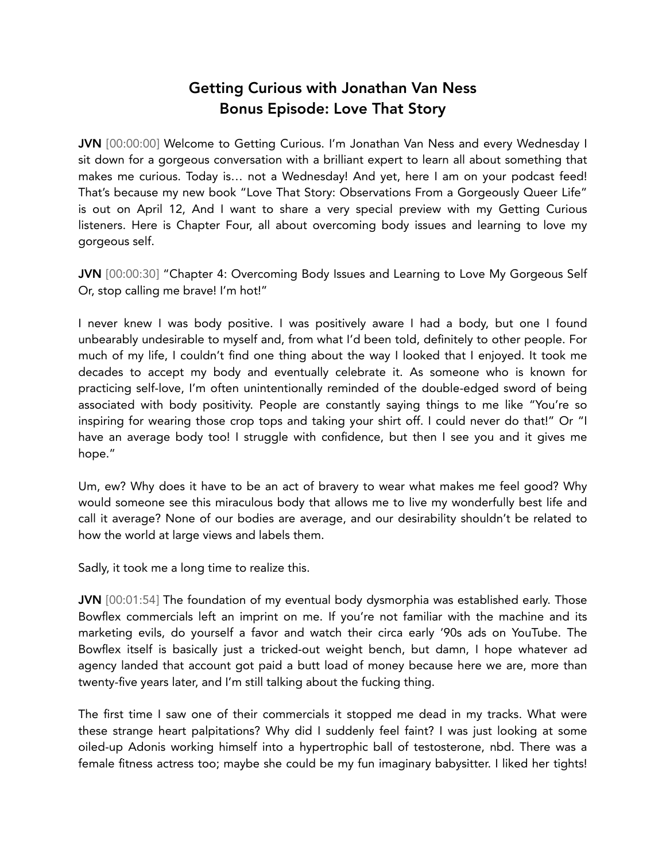## Getting Curious with Jonathan Van Ness Bonus Episode: Love That Story

JVN [00:00:00] Welcome to Getting Curious. I'm Jonathan Van Ness and every Wednesday I sit down for a gorgeous conversation with a brilliant expert to learn all about something that makes me curious. Today is… not a Wednesday! And yet, here I am on your podcast feed! That's because my new book "Love That Story: Observations From a Gorgeously Queer Life" is out on April 12, And I want to share a very special preview with my Getting Curious listeners. Here is Chapter Four, all about overcoming body issues and learning to love my gorgeous self.

JVN [00:00:30] "Chapter 4: Overcoming Body Issues and Learning to Love My Gorgeous Self Or, stop calling me brave! I'm hot!"

I never knew I was body positive. I was positively aware I had a body, but one I found unbearably undesirable to myself and, from what I'd been told, definitely to other people. For much of my life, I couldn't find one thing about the way I looked that I enjoyed. It took me decades to accept my body and eventually celebrate it. As someone who is known for practicing self-love, I'm often unintentionally reminded of the double-edged sword of being associated with body positivity. People are constantly saying things to me like "You're so inspiring for wearing those crop tops and taking your shirt off. I could never do that!" Or "I have an average body too! I struggle with confidence, but then I see you and it gives me hope."

Um, ew? Why does it have to be an act of bravery to wear what makes me feel good? Why would someone see this miraculous body that allows me to live my wonderfully best life and call it average? None of our bodies are average, and our desirability shouldn't be related to how the world at large views and labels them.

Sadly, it took me a long time to realize this.

JVN [00:01:54] The foundation of my eventual body dysmorphia was established early. Those Bowflex commercials left an imprint on me. If you're not familiar with the machine and its marketing evils, do yourself a favor and watch their circa early '90s ads on YouTube. The Bowflex itself is basically just a tricked-out weight bench, but damn, I hope whatever ad agency landed that account got paid a butt load of money because here we are, more than twenty-five years later, and I'm still talking about the fucking thing.

The first time I saw one of their commercials it stopped me dead in my tracks. What were these strange heart palpitations? Why did I suddenly feel faint? I was just looking at some oiled-up Adonis working himself into a hypertrophic ball of testosterone, nbd. There was a female fitness actress too; maybe she could be my fun imaginary babysitter. I liked her tights!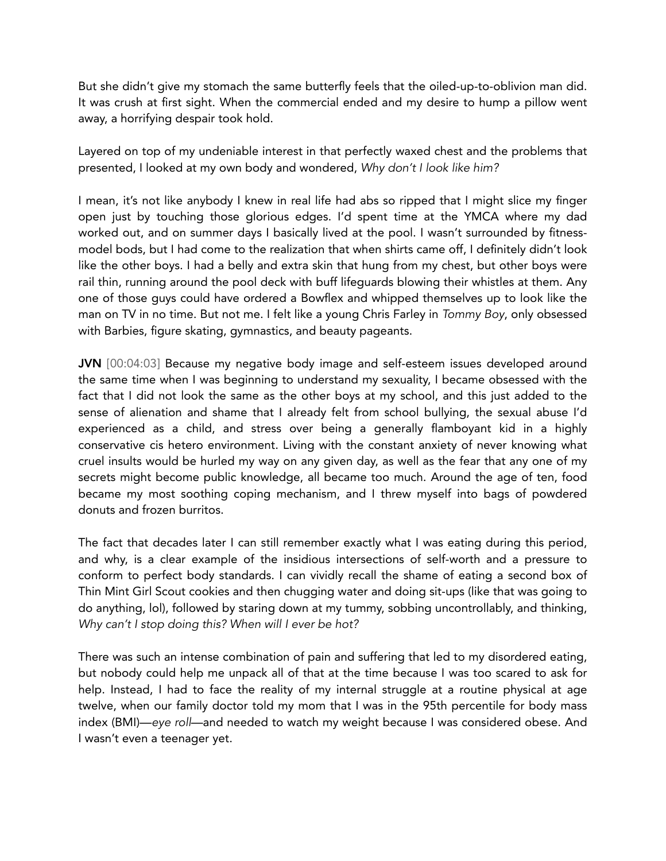But she didn't give my stomach the same butterfly feels that the oiled-up-to-oblivion man did. It was crush at first sight. When the commercial ended and my desire to hump a pillow went away, a horrifying despair took hold.

Layered on top of my undeniable interest in that perfectly waxed chest and the problems that presented, I looked at my own body and wondered, *Why don't I look like him?* 

I mean, it's not like anybody I knew in real life had abs so ripped that I might slice my finger open just by touching those glorious edges. I'd spent time at the YMCA where my dad worked out, and on summer days I basically lived at the pool. I wasn't surrounded by fitnessmodel bods, but I had come to the realization that when shirts came off, I definitely didn't look like the other boys. I had a belly and extra skin that hung from my chest, but other boys were rail thin, running around the pool deck with buff lifeguards blowing their whistles at them. Any one of those guys could have ordered a Bowflex and whipped themselves up to look like the man on TV in no time. But not me. I felt like a young Chris Farley in *Tommy Boy*, only obsessed with Barbies, figure skating, gymnastics, and beauty pageants.

JVN [00:04:03] Because my negative body image and self-esteem issues developed around the same time when I was beginning to understand my sexuality, I became obsessed with the fact that I did not look the same as the other boys at my school, and this just added to the sense of alienation and shame that I already felt from school bullying, the sexual abuse I'd experienced as a child, and stress over being a generally flamboyant kid in a highly conservative cis hetero environment. Living with the constant anxiety of never knowing what cruel insults would be hurled my way on any given day, as well as the fear that any one of my secrets might become public knowledge, all became too much. Around the age of ten, food became my most soothing coping mechanism, and I threw myself into bags of powdered donuts and frozen burritos.

The fact that decades later I can still remember exactly what I was eating during this period, and why, is a clear example of the insidious intersections of self-worth and a pressure to conform to perfect body standards. I can vividly recall the shame of eating a second box of Thin Mint Girl Scout cookies and then chugging water and doing sit-ups (like that was going to do anything, lol), followed by staring down at my tummy, sobbing uncontrollably, and thinking, *Why can't I stop doing this? When will I ever be hot?* 

There was such an intense combination of pain and suffering that led to my disordered eating, but nobody could help me unpack all of that at the time because I was too scared to ask for help. Instead, I had to face the reality of my internal struggle at a routine physical at age twelve, when our family doctor told my mom that I was in the 95th percentile for body mass index (BMI)—*eye roll*—and needed to watch my weight because I was considered obese. And I wasn't even a teenager yet.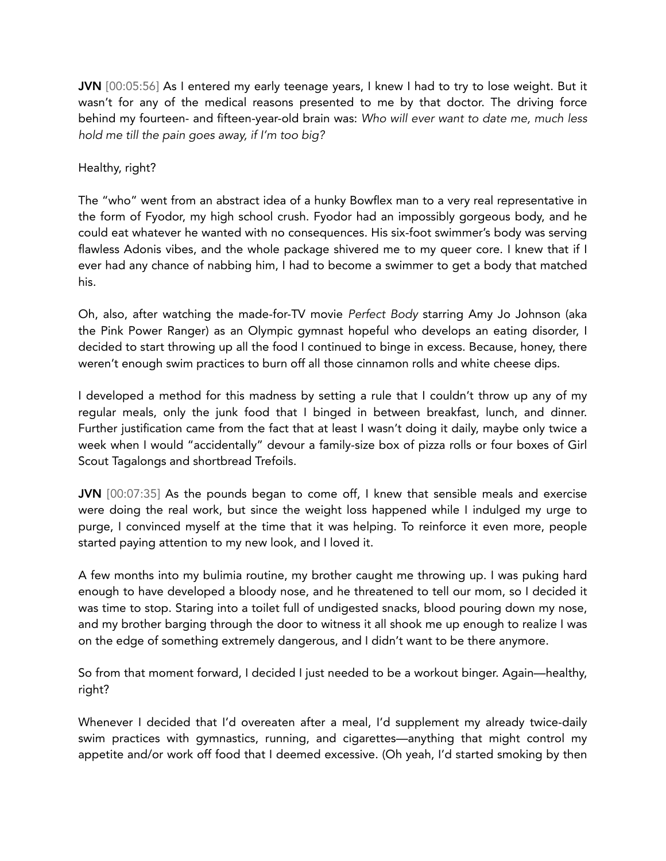JVN [00:05:56] As I entered my early teenage years, I knew I had to try to lose weight. But it wasn't for any of the medical reasons presented to me by that doctor. The driving force behind my fourteen- and fifteen-year-old brain was: *Who will ever want to date me, much less hold me till the pain goes away, if I'm too big?* 

## Healthy, right?

The "who" went from an abstract idea of a hunky Bowflex man to a very real representative in the form of Fyodor, my high school crush. Fyodor had an impossibly gorgeous body, and he could eat whatever he wanted with no consequences. His six-foot swimmer's body was serving flawless Adonis vibes, and the whole package shivered me to my queer core. I knew that if I ever had any chance of nabbing him, I had to become a swimmer to get a body that matched his.

Oh, also, after watching the made-for-TV movie *Perfect Body* starring Amy Jo Johnson (aka the Pink Power Ranger) as an Olympic gymnast hopeful who develops an eating disorder, I decided to start throwing up all the food I continued to binge in excess. Because, honey, there weren't enough swim practices to burn off all those cinnamon rolls and white cheese dips.

I developed a method for this madness by setting a rule that I couldn't throw up any of my regular meals, only the junk food that I binged in between breakfast, lunch, and dinner. Further justification came from the fact that at least I wasn't doing it daily, maybe only twice a week when I would "accidentally" devour a family-size box of pizza rolls or four boxes of Girl Scout Tagalongs and shortbread Trefoils.

JVN [00:07:35] As the pounds began to come off, I knew that sensible meals and exercise were doing the real work, but since the weight loss happened while I indulged my urge to purge, I convinced myself at the time that it was helping. To reinforce it even more, people started paying attention to my new look, and I loved it.

A few months into my bulimia routine, my brother caught me throwing up. I was puking hard enough to have developed a bloody nose, and he threatened to tell our mom, so I decided it was time to stop. Staring into a toilet full of undigested snacks, blood pouring down my nose, and my brother barging through the door to witness it all shook me up enough to realize I was on the edge of something extremely dangerous, and I didn't want to be there anymore.

So from that moment forward, I decided I just needed to be a workout binger. Again—healthy, right?

Whenever I decided that I'd overeaten after a meal, I'd supplement my already twice-daily swim practices with gymnastics, running, and cigarettes—anything that might control my appetite and/or work off food that I deemed excessive. (Oh yeah, I'd started smoking by then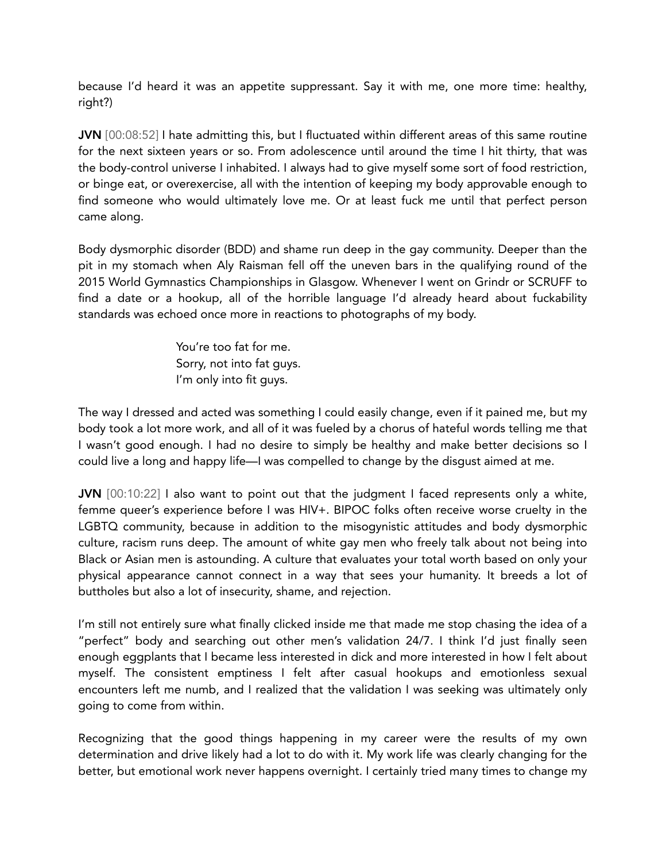because I'd heard it was an appetite suppressant. Say it with me, one more time: healthy, right?)

JVN [00:08:52] I hate admitting this, but I fluctuated within different areas of this same routine for the next sixteen years or so. From adolescence until around the time I hit thirty, that was the body-control universe I inhabited. I always had to give myself some sort of food restriction, or binge eat, or overexercise, all with the intention of keeping my body approvable enough to find someone who would ultimately love me. Or at least fuck me until that perfect person came along.

Body dysmorphic disorder (BDD) and shame run deep in the gay community. Deeper than the pit in my stomach when Aly Raisman fell off the uneven bars in the qualifying round of the 2015 World Gymnastics Championships in Glasgow. Whenever I went on Grindr or SCRUFF to find a date or a hookup, all of the horrible language I'd already heard about fuckability standards was echoed once more in reactions to photographs of my body.

> You're too fat for me. Sorry, not into fat guys. I'm only into fit guys.

The way I dressed and acted was something I could easily change, even if it pained me, but my body took a lot more work, and all of it was fueled by a chorus of hateful words telling me that I wasn't good enough. I had no desire to simply be healthy and make better decisions so I could live a long and happy life—I was compelled to change by the disgust aimed at me.

JVN [00:10:22] I also want to point out that the judgment I faced represents only a white, femme queer's experience before I was HIV+. BIPOC folks often receive worse cruelty in the LGBTQ community, because in addition to the misogynistic attitudes and body dysmorphic culture, racism runs deep. The amount of white gay men who freely talk about not being into Black or Asian men is astounding. A culture that evaluates your total worth based on only your physical appearance cannot connect in a way that sees your humanity. It breeds a lot of buttholes but also a lot of insecurity, shame, and rejection.

I'm still not entirely sure what finally clicked inside me that made me stop chasing the idea of a "perfect" body and searching out other men's validation 24/7. I think I'd just finally seen enough eggplants that I became less interested in dick and more interested in how I felt about myself. The consistent emptiness I felt after casual hookups and emotionless sexual encounters left me numb, and I realized that the validation I was seeking was ultimately only going to come from within.

Recognizing that the good things happening in my career were the results of my own determination and drive likely had a lot to do with it. My work life was clearly changing for the better, but emotional work never happens overnight. I certainly tried many times to change my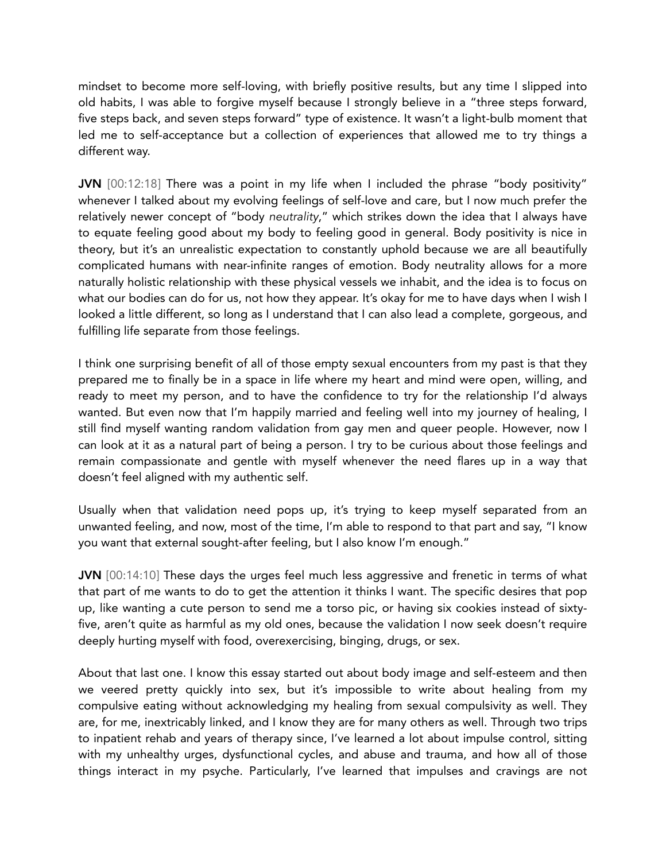mindset to become more self-loving, with briefly positive results, but any time I slipped into old habits, I was able to forgive myself because I strongly believe in a "three steps forward, five steps back, and seven steps forward" type of existence. It wasn't a light-bulb moment that led me to self-acceptance but a collection of experiences that allowed me to try things a different way.

JVN [00:12:18] There was a point in my life when I included the phrase "body positivity" whenever I talked about my evolving feelings of self-love and care, but I now much prefer the relatively newer concept of "body *neutrality*," which strikes down the idea that I always have to equate feeling good about my body to feeling good in general. Body positivity is nice in theory, but it's an unrealistic expectation to constantly uphold because we are all beautifully complicated humans with near-infinite ranges of emotion. Body neutrality allows for a more naturally holistic relationship with these physical vessels we inhabit, and the idea is to focus on what our bodies can do for us, not how they appear. It's okay for me to have days when I wish I looked a little different, so long as I understand that I can also lead a complete, gorgeous, and fulfilling life separate from those feelings.

I think one surprising benefit of all of those empty sexual encounters from my past is that they prepared me to finally be in a space in life where my heart and mind were open, willing, and ready to meet my person, and to have the confidence to try for the relationship I'd always wanted. But even now that I'm happily married and feeling well into my journey of healing, I still find myself wanting random validation from gay men and queer people. However, now I can look at it as a natural part of being a person. I try to be curious about those feelings and remain compassionate and gentle with myself whenever the need flares up in a way that doesn't feel aligned with my authentic self.

Usually when that validation need pops up, it's trying to keep myself separated from an unwanted feeling, and now, most of the time, I'm able to respond to that part and say, "I know you want that external sought-after feeling, but I also know I'm enough."

JVN [00:14:10] These days the urges feel much less aggressive and frenetic in terms of what that part of me wants to do to get the attention it thinks I want. The specific desires that pop up, like wanting a cute person to send me a torso pic, or having six cookies instead of sixtyfive, aren't quite as harmful as my old ones, because the validation I now seek doesn't require deeply hurting myself with food, overexercising, binging, drugs, or sex.

About that last one. I know this essay started out about body image and self-esteem and then we veered pretty quickly into sex, but it's impossible to write about healing from my compulsive eating without acknowledging my healing from sexual compulsivity as well. They are, for me, inextricably linked, and I know they are for many others as well. Through two trips to inpatient rehab and years of therapy since, I've learned a lot about impulse control, sitting with my unhealthy urges, dysfunctional cycles, and abuse and trauma, and how all of those things interact in my psyche. Particularly, I've learned that impulses and cravings are not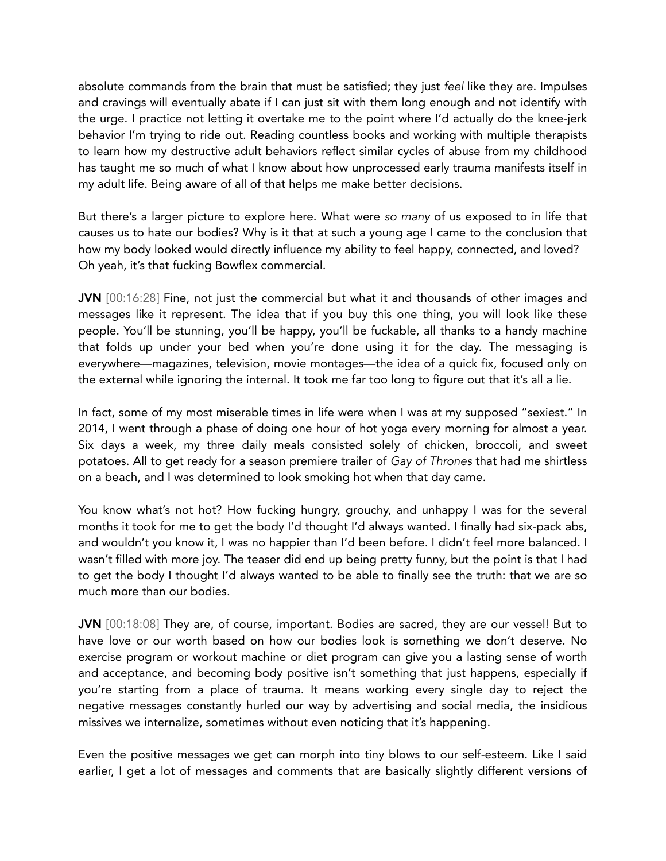absolute commands from the brain that must be satisfied; they just *feel* like they are. Impulses and cravings will eventually abate if I can just sit with them long enough and not identify with the urge. I practice not letting it overtake me to the point where I'd actually do the knee-jerk behavior I'm trying to ride out. Reading countless books and working with multiple therapists to learn how my destructive adult behaviors reflect similar cycles of abuse from my childhood has taught me so much of what I know about how unprocessed early trauma manifests itself in my adult life. Being aware of all of that helps me make better decisions.

But there's a larger picture to explore here. What were *so many* of us exposed to in life that causes us to hate our bodies? Why is it that at such a young age I came to the conclusion that how my body looked would directly influence my ability to feel happy, connected, and loved? Oh yeah, it's that fucking Bowflex commercial.

JVN [00:16:28] Fine, not just the commercial but what it and thousands of other images and messages like it represent. The idea that if you buy this one thing, you will look like these people. You'll be stunning, you'll be happy, you'll be fuckable, all thanks to a handy machine that folds up under your bed when you're done using it for the day. The messaging is everywhere—magazines, television, movie montages—the idea of a quick fix, focused only on the external while ignoring the internal. It took me far too long to figure out that it's all a lie.

In fact, some of my most miserable times in life were when I was at my supposed "sexiest." In 2014, I went through a phase of doing one hour of hot yoga every morning for almost a year. Six days a week, my three daily meals consisted solely of chicken, broccoli, and sweet potatoes. All to get ready for a season premiere trailer of *Gay of Thrones* that had me shirtless on a beach, and I was determined to look smoking hot when that day came.

You know what's not hot? How fucking hungry, grouchy, and unhappy I was for the several months it took for me to get the body I'd thought I'd always wanted. I finally had six-pack abs, and wouldn't you know it, I was no happier than I'd been before. I didn't feel more balanced. I wasn't filled with more joy. The teaser did end up being pretty funny, but the point is that I had to get the body I thought I'd always wanted to be able to finally see the truth: that we are so much more than our bodies.

JVN [00:18:08] They are, of course, important. Bodies are sacred, they are our vessel! But to have love or our worth based on how our bodies look is something we don't deserve. No exercise program or workout machine or diet program can give you a lasting sense of worth and acceptance, and becoming body positive isn't something that just happens, especially if you're starting from a place of trauma. It means working every single day to reject the negative messages constantly hurled our way by advertising and social media, the insidious missives we internalize, sometimes without even noticing that it's happening.

Even the positive messages we get can morph into tiny blows to our self-esteem. Like I said earlier, I get a lot of messages and comments that are basically slightly different versions of